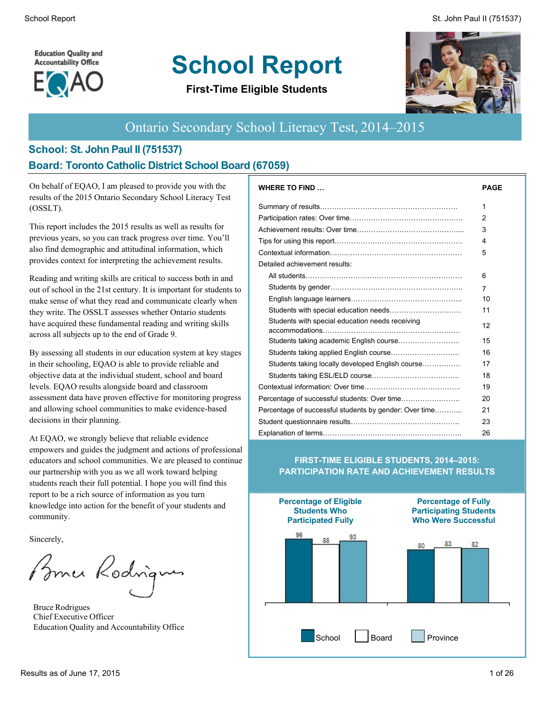School Report St. John Paul II (751537)

**Education Quality and Accountability Office** 



# **School Report**

**First-Time Eligible Students**



### Ontario Secondary School Literacy Test, 2014–2015

#### **School: St. John Paul II (751537) Board: Toronto Catholic District School Board (67059)**

On behalf of EQAO, I am pleased to provide you with the results of the 2015 Ontario Secondary School Literacy Test (OSSLT).

This report includes the 2015 results as well as results for previous years, so you can track progress over time. You'll also find demographic and attitudinal information, which provides context for interpreting the achievement results.

Reading and writing skills are critical to success both in and out of school in the 21st century. It is important for students to make sense of what they read and communicate clearly when they write. The OSSLT assesses whether Ontario students have acquired these fundamental reading and writing skills across all subjects up to the end of Grade 9.

By assessing all students in our education system at key stages in their schooling, EQAO is able to provide reliable and objective data at the individual student, school and board levels. EQAO results alongside board and classroom assessment data have proven effective for monitoring progress and allowing school communities to make evidence-based decisions in their planning.

At EQAO, we strongly believe that reliable evidence empowers and guides the judgment and actions of professional educators and school communities. We are pleased to continue our partnership with you as we all work toward helping students reach their full potential. I hope you will find this report to be a rich source of information as you turn knowledge into action for the benefit of your students and community.

Sincerely,

**`**

Bomer Rodrigues

Bruce Rodrigues Chief Executive Officer Education Quality and Accountability Office

| <b>WHERE TO FIND</b>                                   | <b>PAGE</b>    |
|--------------------------------------------------------|----------------|
|                                                        | 1              |
|                                                        | $\overline{2}$ |
|                                                        | 3              |
|                                                        | 4              |
|                                                        | 5              |
| Detailed achievement results:                          |                |
|                                                        | 6              |
|                                                        | 7              |
|                                                        | 10             |
|                                                        | 11             |
| Students with special education needs receiving        | 12             |
|                                                        | 15             |
|                                                        | 16             |
| Students taking locally developed English course       | 17             |
|                                                        | 18             |
|                                                        | 19             |
|                                                        | 20             |
| Percentage of successful students by gender: Over time | 21             |
|                                                        | 23             |
|                                                        | 26             |

#### **FIRST-TIME ELIGIBLE STUDENTS, 2014–2015: PARTICIPATION RATE AND ACHIEVEMENT RESULTS**

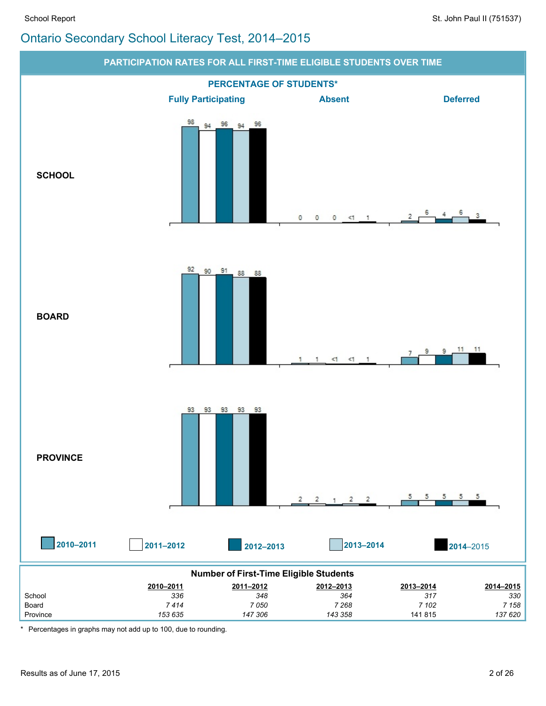

\* Percentages in graphs may not add up to 100, due to rounding.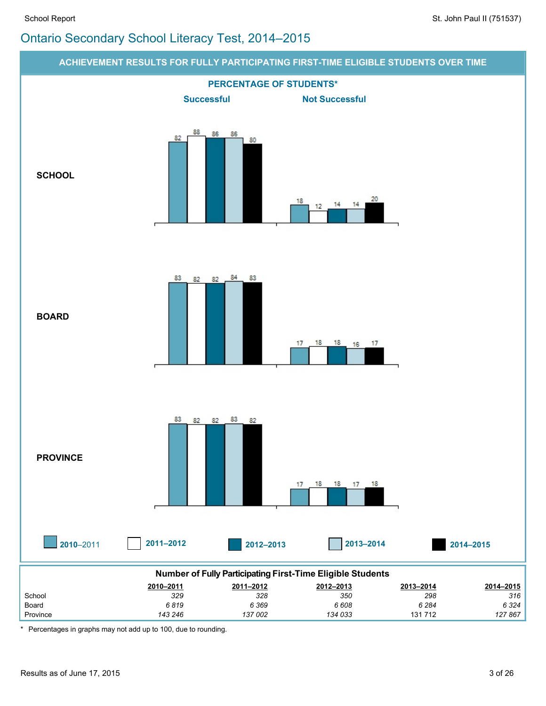

\* Percentages in graphs may not add up to 100, due to rounding.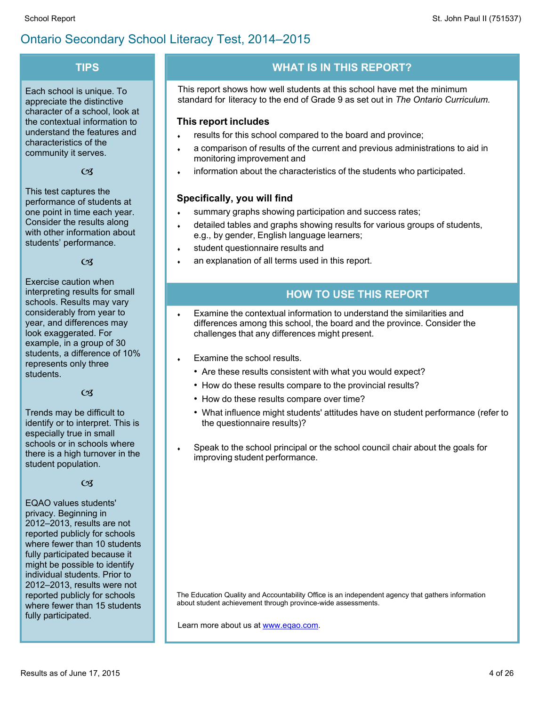#### $-1$   $2\#$   $1$  $) 8$  $\%$  $#$

|                                                                                                                                                                                                                                                                                                                                                                                                                     | $\mathbf{F}$ , and the set of $\mathbf{F}$<br>ص می                                                                                                                                                                                                                                                                                                                                                                                                                                                                                                                                                                                                                                                                                       |
|---------------------------------------------------------------------------------------------------------------------------------------------------------------------------------------------------------------------------------------------------------------------------------------------------------------------------------------------------------------------------------------------------------------------|------------------------------------------------------------------------------------------------------------------------------------------------------------------------------------------------------------------------------------------------------------------------------------------------------------------------------------------------------------------------------------------------------------------------------------------------------------------------------------------------------------------------------------------------------------------------------------------------------------------------------------------------------------------------------------------------------------------------------------------|
| $\frac{1}{2}$ $\frac{1}{2}$ $\frac{1}{2}$ $\frac{1}{2}$ $\frac{1}{2}$ $\frac{1}{2}$ $\frac{1}{2}$ $\frac{1}{2}$ $\frac{1}{2}$ $\frac{1}{2}$ $\frac{1}{2}$ $\frac{1}{2}$ $\frac{1}{2}$ $\frac{1}{2}$ $\frac{1}{2}$ $\frac{1}{2}$ $\frac{1}{2}$ $\frac{1}{2}$ $\frac{1}{2}$ $\frac{1}{2}$ $\frac{1}{2}$ $\frac{1}{2}$<br>$\sqrt{2}$<br>$\#$ $ \#$ $\#$ $\#$ $\&$<br>$\vert$ 1<br>$+$ $+$ $+$                          | $\begin{array}{ccccccccccc}\n' & \# & & & 0 & & 0 & & & & & & \# \\ & & - & & - & & \# & & ! & & - & ? & - & 5\n\end{array}$<br>8. # #<br>$\frac{\#}{4}$<br>#                                                                                                                                                                                                                                                                                                                                                                                                                                                                                                                                                                            |
| #<br>$\begin{array}{cc} - & \\ + & + \end{array}$<br># $!#$ &                                                                                                                                                                                                                                                                                                                                                       | #<br>#<br>#<br>$\# \# ( 8  - $<br>$\#$ $\#$ .<br># # - 0 # # -                                                                                                                                                                                                                                                                                                                                                                                                                                                                                                                                                                                                                                                                           |
| $+$ #<br>$\begin{array}{c cccc}\n\hline\n\end{array}$<br>$\sim 1$<br>$\star$ # -<br>$\overline{ }$<br>$\#$ .<br>$0 \#$ #<br><b>Contractor</b>                                                                                                                                                                                                                                                                       | 9 : 4 > 9<br>$\frac{1}{1}$ ( 0# ( # # #-<br>@<br>- # -. - ( $0#$ ( $8#$ (<br>$( .! ( - ) ( # ($<br>$^{\textregistered}$<br>$-6$ # #<br>$\mathcal{L}^{\mathcal{L}}(\mathcal{L}^{\mathcal{L}}(\mathcal{L}^{\mathcal{L}}(\mathcal{L}^{\mathcal{L}}(\mathcal{L}^{\mathcal{L}}(\mathcal{L}^{\mathcal{L}}(\mathcal{L}^{\mathcal{L}}(\mathcal{L}^{\mathcal{L}}(\mathcal{L}^{\mathcal{L}}(\mathcal{L}^{\mathcal{L}}(\mathcal{L}^{\mathcal{L}}(\mathcal{L}^{\mathcal{L}}(\mathcal{L}^{\mathcal{L}}(\mathcal{L}^{\mathcal{L}}(\mathcal{L}^{\mathcal{L}}(\mathcal{L}^{\mathcal{L}}(\mathcal{L}^{\mathcal{L$<br>$+$ $\#$<br>$-#$ #                                                                                                                   |
| $/ +$ # $\#$ 0<br>$\#$ $\#$ (                                                                                                                                                                                                                                                                                                                                                                                       |                                                                                                                                                                                                                                                                                                                                                                                                                                                                                                                                                                                                                                                                                                                                          |
| $\frac{1}{2}$ 8 $\frac{1}{2}$ 4 - 1 $\frac{1}{2}$ 1 8 $\frac{1}{2}$<br>$\frac{1}{2}$ $\frac{1}{2}$ $\frac{1}{2}$ $\frac{1}{2}$ $\frac{1}{2}$ $\frac{1}{2}$ $\frac{1}{2}$ $\frac{1}{2}$ $\frac{1}{2}$ $\frac{1}{2}$ $\frac{1}{2}$ $\frac{1}{2}$ $\frac{1}{2}$ $\frac{1}{2}$ $\frac{1}{2}$ $\frac{1}{2}$ $\frac{1}{2}$ $\frac{1}{2}$ $\frac{1}{2}$ $\frac{1}{2}$ $\frac{1}{2}$ $\frac{1}{2}$<br>$1 + (($<br>$+$ # (   | $+$ # $\qquad$ # $ \qquad$ + $\qquad$ # $\qquad$ +<br>$/ +$ #<br>$#$ #<br>$8# * +$<br>$($ #<br>$\begin{array}{c} -\# \\ \hline \end{array}$<br>$! - #$<br># (                                                                                                                                                                                                                                                                                                                                                                                                                                                                                                                                                                            |
| $  +$<br>$\,<$<br>70 H<br>$\#$ ! $\#$ ' $\#$ #<br>$# -$<br>$\#$ $\#$<br>$\#$ 0<br># $($ 8 #<br>#<br>#                                                                                                                                                                                                                                                                                                               | $/ +$ #<br>A<br>$\#$ 0 $\#$ 0 $\#$ 0 $\#$ 0 $\#$ 0 $\#$ 0 $\#$ 0 $\#$ 0 $\#$ 0 $\#$ 0 $\#$ 0 $\#$ 0 $\#$ 0 $\#$ 0 $\#$ 0 $\#$ 0 $\#$ 0 $\#$ 0 $\#$ 0 $\#$ 0 $\#$ 0 $\#$ 0 $\#$ 0 $\#$ 0 $\#$ 0 $\#$ 0 $\#$ 0 $\#$ 0 $\#$ 0 $\#$ 0 $\#$ 0 $\#$<br>B.<br>AC 0-<br>8# #<br>B<br>$8 \# B$<br>AC 0-<br>AD # #( - > # - &<br><b>Contractor</b><br>$#$ $#$ B<br>$6\overline{6}$<br>1 $\#$ $\#$<br>$\frac{1}{2}$ $\frac{1}{2}$ $\frac{1}{2}$ $\frac{1}{2}$ $\frac{1}{2}$ $\frac{1}{2}$ $\frac{1}{2}$ $\frac{1}{2}$ $\frac{1}{2}$ $\frac{1}{2}$ $\frac{1}{2}$ $\frac{1}{2}$ $\frac{1}{2}$ $\frac{1}{2}$ $\frac{1}{2}$ $\frac{1}{2}$ $\frac{1}{2}$ $\frac{1}{2}$ $\frac{1}{2}$ $\frac{1}{2}$ $\frac{1}{2}$ $\frac{1}{2}$<br>$\left($<br># $8#$ ( - |
| $1 = %8$ -<br>$\geq$<br><b>#&amp;</b> ! 7 (# # (#<br>8 <sup>1</sup><br>$\begin{bmatrix} 1 & 0 \\ 0 & 0 \end{bmatrix}$<br>$\frac{1}{2}$ ## - .<br>#<br>#<br>#<br>#!<br>#<br><b>STATE OF STATE OF STATE OF STATE OF STATE OF STATE OF STATE OF STATE OF STATE OF STATE OF STATE OF STATE OF S</b><br>$# - #$<br>$\#$<br>$8 -$<br>$\overline{0}$<br>$ \#$ !<br>$0 \qquad \qquad$<br>$\overline{0}$<br>$\frac{1}{2}$ ## | $\frac{1}{2}$ $\frac{1}{2}$ $\frac{1}{2}$ $\frac{1}{2}$ $\frac{1}{2}$ $\frac{1}{2}$ $\frac{1}{2}$ $\frac{1}{2}$ $\frac{1}{2}$ $\frac{1}{2}$ $\frac{1}{2}$ $\frac{1}{2}$ $\frac{1}{2}$ $\frac{1}{2}$ $\frac{1}{2}$ $\frac{1}{2}$ $\frac{1}{2}$ $\frac{1}{2}$ $\frac{1}{2}$ $\frac{1}{2}$ $\frac{1}{2}$ $\frac{1}{2}$<br>#<br>$/$ -<br>#<br>#!<br>$# =$<br># &<br>( 8#<br>$E 0 # -$<br>$\overline{2}$<br>$\frac{000}{6}$                                                                                                                                                                                                                                                                                                                   |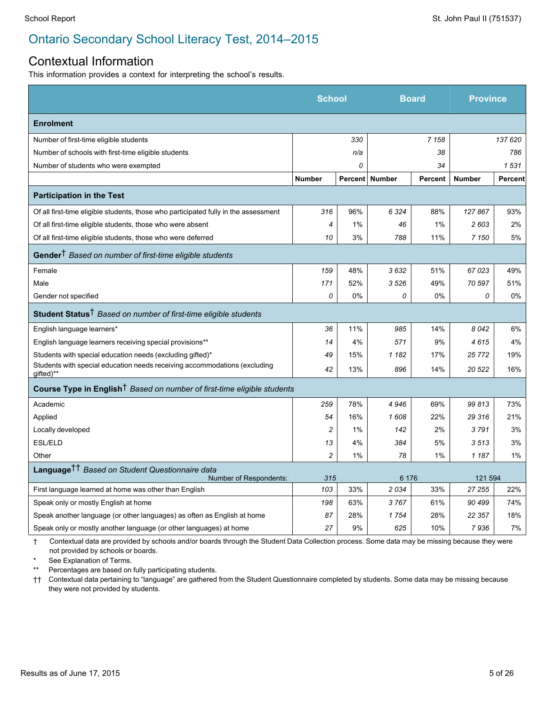#### Contextual Information

This information provides a context for interpreting the school's results.

|                                                                                        | <b>School</b>  |     | <b>Board</b>     |         | <b>Province</b> |                |
|----------------------------------------------------------------------------------------|----------------|-----|------------------|---------|-----------------|----------------|
| <b>Enrolment</b>                                                                       |                |     |                  |         |                 |                |
| Number of first-time eligible students                                                 |                | 330 |                  | 7 1 5 8 |                 | 137 620        |
| Number of schools with first-time eligible students                                    |                | n/a |                  | 38      |                 | 786            |
| Number of students who were exempted                                                   |                | 0   |                  | 34      |                 | 1531           |
|                                                                                        | <b>Number</b>  |     | Percent   Number | Percent | <b>Number</b>   | <b>Percent</b> |
| <b>Participation in the Test</b>                                                       |                |     |                  |         |                 |                |
| Of all first-time eligible students, those who participated fully in the assessment    | 316            | 96% | 6 3 2 4          | 88%     | 127867          | 93%            |
| Of all first-time eligible students, those who were absent                             | $\overline{4}$ | 1%  | 46               | 1%      | 2603            | 2%             |
| Of all first-time eligible students, those who were deferred                           | 10             | 3%  | 788              | 11%     | 7 150           | 5%             |
| Gender <sup>†</sup> Based on number of first-time eligible students                    |                |     |                  |         |                 |                |
| Female                                                                                 | 159            | 48% | 3632             | 51%     | 67023           | 49%            |
| Male                                                                                   | 171            | 52% | 3526             | 49%     | 70 597          | 51%            |
| Gender not specified                                                                   | 0              | 0%  | 0                | 0%      | 0               | 0%             |
| Student Status <sup>†</sup> Based on number of first-time eligible students            |                |     |                  |         |                 |                |
| English language learners*                                                             | 36             | 11% | 985              | 14%     | 8042            | 6%             |
| English language learners receiving special provisions**                               | 14             | 4%  | 571              | 9%      | 4615            | 4%             |
| Students with special education needs (excluding gifted)*                              | 49             | 15% | 1 1 8 2          | 17%     | 25772           | 19%            |
| Students with special education needs receiving accommodations (excluding<br>gifted)** | 42             | 13% | 896              | 14%     | 20 522          | 16%            |
| Course Type in English <sup>†</sup> Based on number of first-time eligible students    |                |     |                  |         |                 |                |
| Academic                                                                               | 259            | 78% | 4946             | 69%     | 99813           | 73%            |
| Applied                                                                                | 54             | 16% | 1608             | 22%     | 29 316          | 21%            |
| Locally developed                                                                      | $\overline{c}$ | 1%  | 142              | 2%      | 3791            | 3%             |
| ESL/ELD                                                                                | 13             | 4%  | 384              | 5%      | 3513            | 3%             |
| Other                                                                                  | $\overline{c}$ | 1%  | 78               | 1%      | 1 1 8 7         | 1%             |
| Language <sup>††</sup> Based on Student Questionnaire data<br>Number of Respondents:   | 315            |     | 6 176            |         | 121 594         |                |
| First language learned at home was other than English                                  | 103            | 33% | 2034             | 33%     | 27 255          | 22%            |
| Speak only or mostly English at home                                                   | 198            | 63% | 3767             | 61%     | 90 499          | 74%            |
| Speak another language (or other languages) as often as English at home                | 87             | 28% | 1754             | 28%     | 22 357          | 18%            |
| Speak only or mostly another language (or other languages) at home                     | 27             | 9%  | 625              | 10%     | 7936            | 7%             |

† Contextual data are provided by schools and/or boards through the Student Data Collection process. Some data may be missing because they were not provided by schools or boards.

See Explanation of Terms.

\*\* Percentages are based on fully participating students.

†† Contextual data pertaining to "language" are gathered from the Student Questionnaire completed by students. Some data may be missing because they were not provided by students.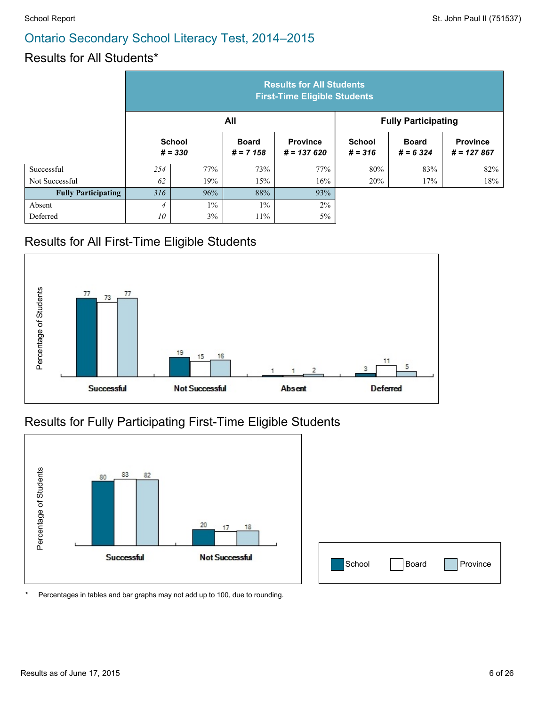#### Results for All Students\*

|                            | <b>Results for All Students</b><br><b>First-Time Eligible Students</b> |       |                             |                                 |                            |                             |                                 |
|----------------------------|------------------------------------------------------------------------|-------|-----------------------------|---------------------------------|----------------------------|-----------------------------|---------------------------------|
|                            |                                                                        |       | All                         |                                 |                            | <b>Fully Participating</b>  |                                 |
|                            | <b>School</b><br>$# = 330$                                             |       | <b>Board</b><br>$# = 7 158$ | <b>Province</b><br>$# = 137620$ | <b>School</b><br>$# = 316$ | <b>Board</b><br>$# = 6,324$ | <b>Province</b><br>$# = 127867$ |
| Successful                 | 254                                                                    | 77%   | 73%                         | 77%                             | 80%                        | 83%                         | 82%                             |
| Not Successful             | 62                                                                     | 19%   | 15%                         | 16%                             | 20%                        | 17%                         | 18%                             |
| <b>Fully Participating</b> | 316                                                                    | 96%   | 88%                         | 93%                             |                            |                             |                                 |
| Absent                     | $\overline{4}$                                                         | $1\%$ | $1\%$                       | $2\%$                           |                            |                             |                                 |
| Deferred                   | 10                                                                     | 3%    | $11\%$                      | 5%                              |                            |                             |                                 |

#### Results for All First-Time Eligible Students



#### Results for Fully Participating First-Time Eligible Students



| School | Board | Province |
|--------|-------|----------|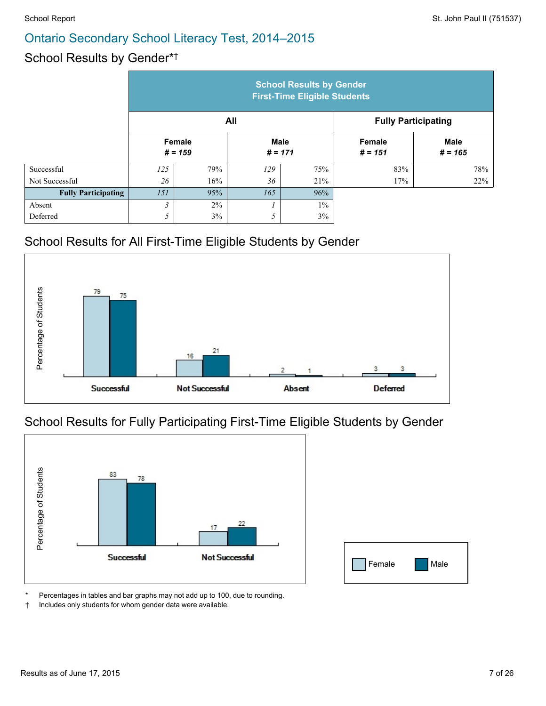#### School Results by Gender\* †

|                            | <b>School Results by Gender</b><br><b>First-Time Eligible Students</b> |       |                          |       |                     |                            |
|----------------------------|------------------------------------------------------------------------|-------|--------------------------|-------|---------------------|----------------------------|
|                            | All                                                                    |       |                          |       |                     | <b>Fully Participating</b> |
|                            | Female<br>$# = 159$                                                    |       | <b>Male</b><br>$# = 171$ |       | Female<br>$# = 151$ | <b>Male</b><br>$# = 165$   |
| Successful                 | 125                                                                    | 79%   | 129                      | 75%   | 83%                 | 78%                        |
| Not Successful             | 26                                                                     | 16%   | 36                       | 21%   | 17%                 | 22%                        |
| <b>Fully Participating</b> | 151                                                                    | 95%   | 165                      | 96%   |                     |                            |
| Absent                     | 3                                                                      | $2\%$ |                          | $1\%$ |                     |                            |
| Deferred                   | 5                                                                      | 3%    | 5                        | 3%    |                     |                            |

#### School Results for All First-Time Eligible Students by Gender



#### School Results for Fully Participating First-Time Eligible Students by Gender



| Female | Male |
|--------|------|

Percentages in tables and bar graphs may not add up to 100, due to rounding.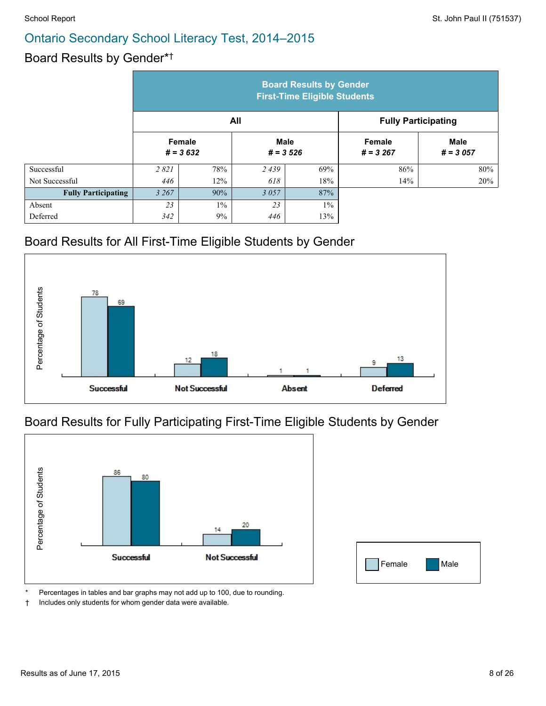#### Board Results by Gender\* †

|                            | <b>Board Results by Gender</b><br><b>First-Time Eligible Students</b> |                      |                           |       |                            |                           |  |
|----------------------------|-----------------------------------------------------------------------|----------------------|---------------------------|-------|----------------------------|---------------------------|--|
|                            | All                                                                   |                      |                           |       | <b>Fully Participating</b> |                           |  |
|                            |                                                                       | Female<br>$# = 3632$ | <b>Male</b><br>$# = 3526$ |       | Female<br>$# = 3267$       | <b>Male</b><br>$# = 3057$ |  |
| Successful                 | 2821                                                                  | 78%                  | 2439                      | 69%   | 86%                        | $80\%$                    |  |
| Not Successful             | 446                                                                   | 12%                  | 618                       | 18%   | 14%                        | 20%                       |  |
| <b>Fully Participating</b> | 3 2 6 7                                                               | 90%                  | 3057                      | 87%   |                            |                           |  |
| Absent                     | 23                                                                    | $1\%$                | 23                        | $1\%$ |                            |                           |  |
| Deferred                   | 342                                                                   | 9%                   | 446                       | 13%   |                            |                           |  |

#### Board Results for All First-Time Eligible Students by Gender



#### Board Results for Fully Participating First-Time Eligible Students by Gender



Percentages in tables and bar graphs may not add up to 100, due to rounding.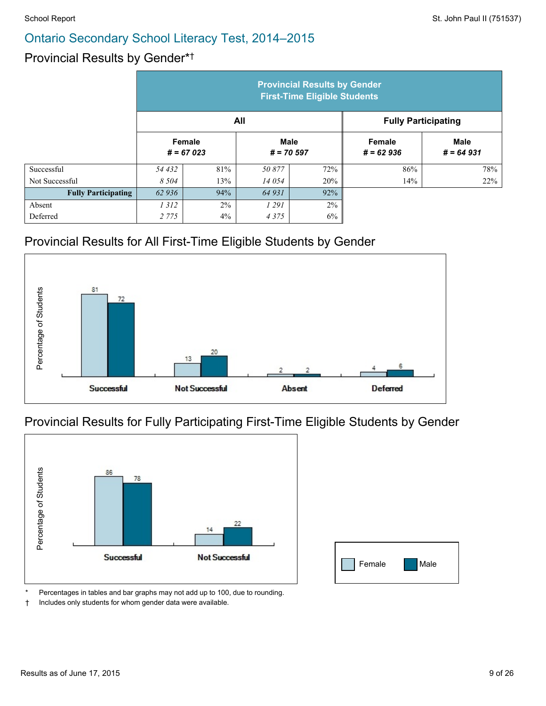#### Provincial Results by Gender\* †

|                            | <b>Provincial Results by Gender</b><br><b>First-Time Eligible Students</b> |                       |                     |                            |                              |                            |
|----------------------------|----------------------------------------------------------------------------|-----------------------|---------------------|----------------------------|------------------------------|----------------------------|
|                            |                                                                            |                       | All                 | <b>Fully Participating</b> |                              |                            |
|                            |                                                                            | Female<br>$# = 67023$ | Male<br>$# = 70597$ |                            | <b>Female</b><br>$# = 62936$ | <b>Male</b><br>$# = 64931$ |
| Successful                 | 54 432                                                                     | 81%                   | 50877               | 72%                        | 86%                          | 78%                        |
| Not Successful             | 8 5 0 4                                                                    | 13%                   | 14 054              | 20%                        | 14%                          | 22%                        |
| <b>Fully Participating</b> | 62936                                                                      | 94%                   | 64 931              | 92%                        |                              |                            |
| Absent                     | 1312                                                                       | $2\%$                 | 1 291               | 2%                         |                              |                            |
| Deferred                   | 2 7 7 5                                                                    | 4%                    | 4375                | 6%                         |                              |                            |

#### Provincial Results for All First-Time Eligible Students by Gender



#### Provincial Results for Fully Participating First-Time Eligible Students by Gender



| Female | Male |
|--------|------|

Percentages in tables and bar graphs may not add up to 100, due to rounding.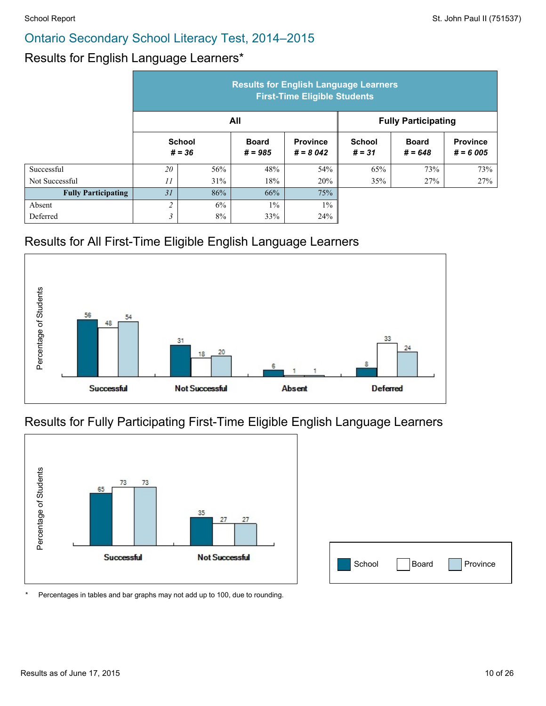#### Results for English Language Learners\*

|                            | <b>Results for English Language Learners</b><br><b>First-Time Eligible Students</b> |                           |                           |                               |                            |                           |                               |
|----------------------------|-------------------------------------------------------------------------------------|---------------------------|---------------------------|-------------------------------|----------------------------|---------------------------|-------------------------------|
|                            |                                                                                     |                           | All                       |                               | <b>Fully Participating</b> |                           |                               |
|                            |                                                                                     | <b>School</b><br>$# = 36$ | <b>Board</b><br>$# = 985$ | <b>Province</b><br>$# = 8042$ | <b>School</b><br>$# = 31$  | <b>Board</b><br>$# = 648$ | <b>Province</b><br>$# = 6005$ |
| Successful                 | 20                                                                                  | 56%                       | 48%                       | 54%                           | 65%                        | 73%                       | 73%                           |
| Not Successful             | 11                                                                                  | 31%                       | 18%                       | 20%                           | 35%                        | 27%                       | 27%                           |
| <b>Fully Participating</b> | 31                                                                                  | 86%                       | 66%                       | 75%                           |                            |                           |                               |
| Absent                     | $\overline{\mathcal{L}}$                                                            | 6%                        | $1\%$                     | $1\%$                         |                            |                           |                               |
| Deferred                   | 3                                                                                   | 8%                        | 33%                       | 24%                           |                            |                           |                               |

#### Results for All First-Time Eligible English Language Learners



#### Results for Fully Participating First-Time Eligible English Language Learners



| School | Board | Province |
|--------|-------|----------|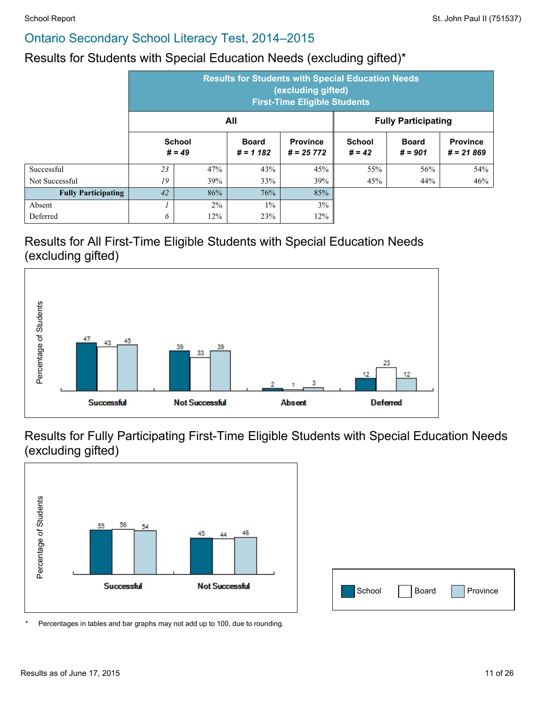#### Results for Students with Special Education Needs (excluding gifted)\*

|                            |    | <b>Results for Students with Special Education Needs</b><br>(excluding gifted)<br><b>First-Time Eligible Students</b> |                            |                                |                            |                           |                                |  |  |  |
|----------------------------|----|-----------------------------------------------------------------------------------------------------------------------|----------------------------|--------------------------------|----------------------------|---------------------------|--------------------------------|--|--|--|
|                            |    |                                                                                                                       | All                        |                                | <b>Fully Participating</b> |                           |                                |  |  |  |
|                            |    | <b>School</b><br>$# = 49$                                                                                             | <b>Board</b><br>$# = 1182$ | <b>Province</b><br>$# = 25772$ | <b>School</b><br>$# = 42$  | <b>Board</b><br>$# = 901$ | <b>Province</b><br>$# = 21869$ |  |  |  |
| Successful                 | 23 | 47%                                                                                                                   | 43%                        | 45%                            | 55%                        | 56%                       | 54%                            |  |  |  |
| Not Successful             | 19 | 39%                                                                                                                   | 33%                        | 39%                            | 45%                        | 44%                       | 46%                            |  |  |  |
| <b>Fully Participating</b> | 42 | 86%                                                                                                                   | 76%                        | 85%                            |                            |                           |                                |  |  |  |
| Absent                     |    | $2\%$                                                                                                                 | $1\%$                      | 3%                             |                            |                           |                                |  |  |  |
| Deferred                   | 6  | 12%                                                                                                                   | 23%                        | 12%                            |                            |                           |                                |  |  |  |

#### Results for All First-Time Eligible Students with Special Education Needs (excluding gifted)



Results for Fully Participating First-Time Eligible Students with Special Education Needs (excluding gifted)



| School | Board | Province |
|--------|-------|----------|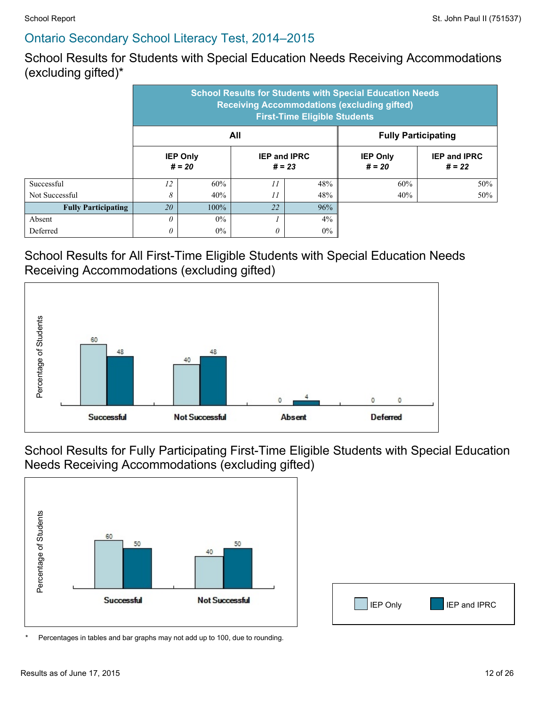School Results for Students with Special Education Needs Receiving Accommodations (excluding gifted)\*

|                            |            | <b>School Results for Students with Special Education Needs</b><br><b>Receiving Accommodations (excluding gifted)</b><br><b>First-Time Eligible Students</b> |                 |                            |                             |                                 |  |  |  |  |
|----------------------------|------------|--------------------------------------------------------------------------------------------------------------------------------------------------------------|-----------------|----------------------------|-----------------------------|---------------------------------|--|--|--|--|
|                            |            |                                                                                                                                                              | All             | <b>Fully Participating</b> |                             |                                 |  |  |  |  |
|                            |            | <b>IEP Only</b><br><b>IEP and IPRC</b><br>$# = 20$<br>$# = 23$                                                                                               |                 |                            | <b>IEP Only</b><br>$# = 20$ | <b>IEP and IPRC</b><br>$# = 22$ |  |  |  |  |
| Successful                 | 12         | 60%                                                                                                                                                          | 11              | 48%                        | 60%                         | 50%                             |  |  |  |  |
| Not Successful             | 8          | 40%                                                                                                                                                          | $\overline{11}$ | 48%                        | 40%                         | 50%                             |  |  |  |  |
| <b>Fully Participating</b> | 20<br>100% |                                                                                                                                                              | 22              | 96%                        |                             |                                 |  |  |  |  |
| Absent                     | $\theta$   | $0\%$                                                                                                                                                        |                 |                            |                             |                                 |  |  |  |  |
| Deferred                   | 0          | $0\%$                                                                                                                                                        | 0               | $0\%$                      |                             |                                 |  |  |  |  |

#### School Results for All First-Time Eligible Students with Special Education Needs Receiving Accommodations (excluding gifted)



School Results for Fully Participating First-Time Eligible Students with Special Education Needs Receiving Accommodations (excluding gifted)



IEP Only **I** IEP and IPRC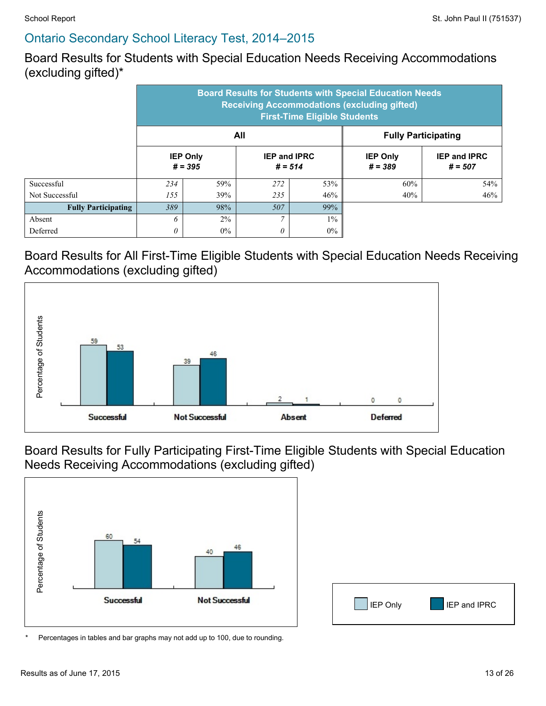Board Results for Students with Special Education Needs Receiving Accommodations (excluding gifted)\*

|                            | <b>Board Results for Students with Special Education Needs</b><br><b>Receiving Accommodations (excluding gifted)</b><br><b>First-Time Eligible Students</b> |       |                |                                  |                              |                                  |  |  |  |
|----------------------------|-------------------------------------------------------------------------------------------------------------------------------------------------------------|-------|----------------|----------------------------------|------------------------------|----------------------------------|--|--|--|
|                            |                                                                                                                                                             |       | All            | <b>Fully Participating</b>       |                              |                                  |  |  |  |
|                            | <b>IEP Only</b><br>$# = 395$                                                                                                                                |       |                | <b>IEP and IPRC</b><br>$# = 514$ | <b>IEP Only</b><br>$# = 389$ | <b>IEP and IPRC</b><br>$# = 507$ |  |  |  |
| Successful                 | 234                                                                                                                                                         | 59%   | 272            | 53%                              | 60%                          | 54%                              |  |  |  |
| Not Successful             | 155                                                                                                                                                         | 39%   | 235            | 46%                              | 40%                          | 46%                              |  |  |  |
| <b>Fully Participating</b> | 389<br>98%                                                                                                                                                  |       | 507            | 99%                              |                              |                                  |  |  |  |
| Absent                     | 6                                                                                                                                                           | $2\%$ | $\overline{7}$ | $1\%$                            |                              |                                  |  |  |  |
| Deferred                   | 0                                                                                                                                                           | $0\%$ | $\theta$       | $0\%$                            |                              |                                  |  |  |  |

#### Board Results for All First-Time Eligible Students with Special Education Needs Receiving Accommodations (excluding gifted)



Board Results for Fully Participating First-Time Eligible Students with Special Education Needs Receiving Accommodations (excluding gifted)



IEP Only **I** IEP and IPRC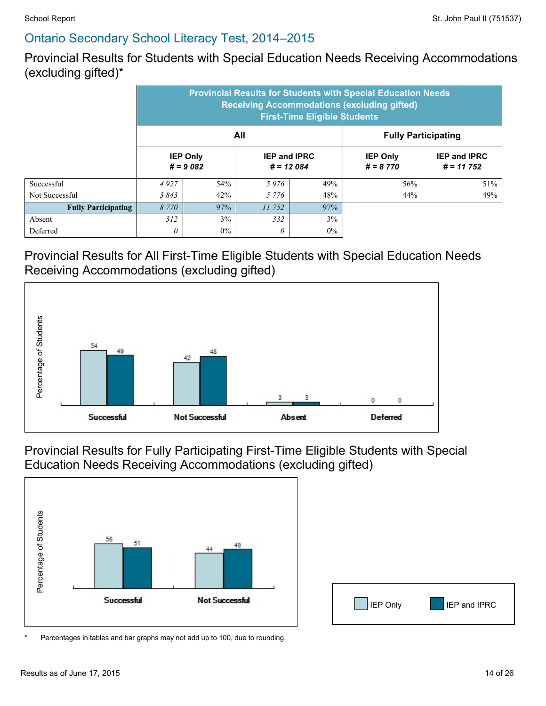Provincial Results for Students with Special Education Needs Receiving Accommodations (excluding gifted)\*

|                            | <b>Provincial Results for Students with Special Education Needs</b><br><b>Receiving Accommodations (excluding gifted)</b><br><b>First-Time Eligible Students</b> |                                                                     |          |                               |                                    |     |  |  |  |
|----------------------------|------------------------------------------------------------------------------------------------------------------------------------------------------------------|---------------------------------------------------------------------|----------|-------------------------------|------------------------------------|-----|--|--|--|
|                            |                                                                                                                                                                  |                                                                     | All      | <b>Fully Participating</b>    |                                    |     |  |  |  |
|                            |                                                                                                                                                                  | <b>IEP Only</b><br><b>IEP and IPRC</b><br>$# = 9082$<br>$# = 12084$ |          | <b>IEP Only</b><br>$# = 8770$ | <b>IEP and IPRC</b><br>$# = 11752$ |     |  |  |  |
| Successful                 | 4927                                                                                                                                                             | 54%                                                                 | 5976     | 49%                           | 56%                                | 51% |  |  |  |
| Not Successful             | 3843                                                                                                                                                             | 42%                                                                 | 5 7 7 6  | 48%                           | 44%                                | 49% |  |  |  |
| <b>Fully Participating</b> | 97%<br>8 7 7 0                                                                                                                                                   |                                                                     | 11 752   | 97%                           |                                    |     |  |  |  |
| Absent                     | 312                                                                                                                                                              | $3\%$                                                               | 332      | 3%                            |                                    |     |  |  |  |
| Deferred                   | 0                                                                                                                                                                | $0\%$                                                               | $\theta$ | $0\%$                         |                                    |     |  |  |  |

#### Provincial Results for All First-Time Eligible Students with Special Education Needs Receiving Accommodations (excluding gifted)



Provincial Results for Fully Participating First-Time Eligible Students with Special Education Needs Receiving Accommodations (excluding gifted)



IEP Only **I** IEP and IPRC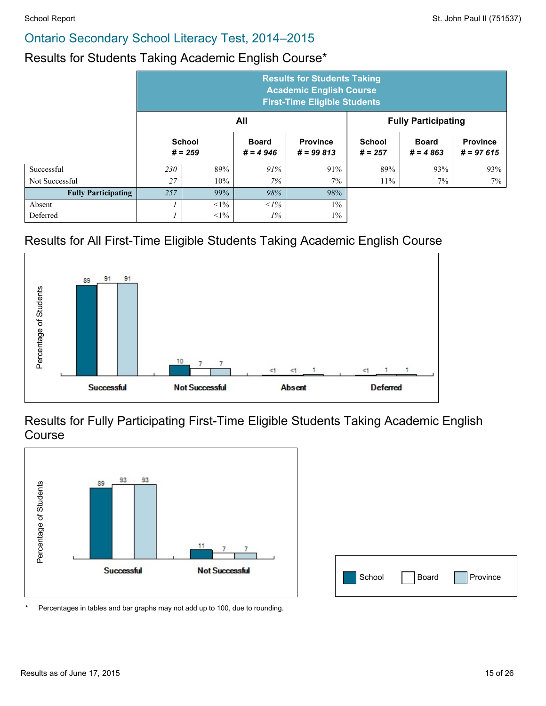#### Results for Students Taking Academic English Course\*

|                            |                                   | <b>Results for Students Taking</b><br><b>Academic English Course</b><br><b>First-Time Eligible Students</b> |                            |                                |                            |                            |                                |  |  |  |  |
|----------------------------|-----------------------------------|-------------------------------------------------------------------------------------------------------------|----------------------------|--------------------------------|----------------------------|----------------------------|--------------------------------|--|--|--|--|
|                            | All<br><b>Fully Participating</b> |                                                                                                             |                            |                                |                            |                            |                                |  |  |  |  |
|                            |                                   | <b>School</b><br>$# = 259$                                                                                  | <b>Board</b><br>$# = 4946$ | <b>Province</b><br>$# = 99813$ | <b>School</b><br>$# = 257$ | <b>Board</b><br>$# = 4863$ | <b>Province</b><br>$# = 97615$ |  |  |  |  |
| Successful                 | 230                               | 89%                                                                                                         | 91%                        | 91%                            | 89%                        | 93%                        | 93%                            |  |  |  |  |
| Not Successful             | 27                                | 10%                                                                                                         | 7%                         | $7\%$                          | 11%                        | $7\%$                      | 7%                             |  |  |  |  |
| <b>Fully Participating</b> | 257                               | 99%                                                                                                         | 98%                        | 98%                            |                            |                            |                                |  |  |  |  |
| Absent                     |                                   | $<1\%$                                                                                                      | $1\%$                      | $1\%$                          |                            |                            |                                |  |  |  |  |
| Deferred                   |                                   | $<1\%$                                                                                                      | $1\%$                      | $1\%$                          |                            |                            |                                |  |  |  |  |

#### Results for All First-Time Eligible Students Taking Academic English Course



Results for Fully Participating First-Time Eligible Students Taking Academic English Course



| School | Board Province |
|--------|----------------|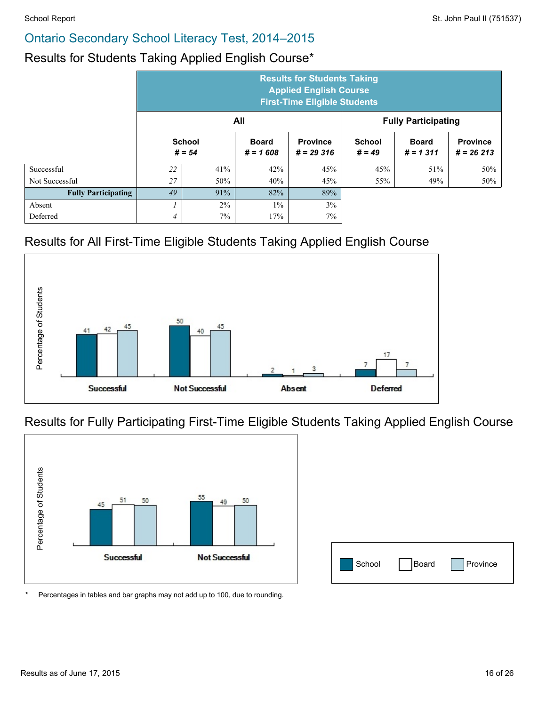#### Results for Students Taking Applied English Course\*

|                            |                           | <b>Results for Students Taking</b><br><b>Applied English Course</b><br><b>First-Time Eligible Students</b> |                            |                                |                           |                            |                                |  |  |  |
|----------------------------|---------------------------|------------------------------------------------------------------------------------------------------------|----------------------------|--------------------------------|---------------------------|----------------------------|--------------------------------|--|--|--|
|                            |                           |                                                                                                            | All                        |                                |                           | <b>Fully Participating</b> |                                |  |  |  |
|                            | <b>School</b><br>$# = 54$ |                                                                                                            | <b>Board</b><br>$# = 1608$ | <b>Province</b><br>$# = 29316$ | <b>School</b><br>$# = 49$ | <b>Board</b><br>$# = 1311$ | <b>Province</b><br>$# = 26213$ |  |  |  |
| Successful                 | 22                        | 41%                                                                                                        | 42%                        | 45%                            | 45%                       | 51%                        | 50%                            |  |  |  |
| Not Successful             | 27                        | 50%                                                                                                        | 40%                        | 45%                            | 55%                       | 49%                        | 50%                            |  |  |  |
| <b>Fully Participating</b> | 49                        | 91%                                                                                                        | 82%                        | 89%                            |                           |                            |                                |  |  |  |
| Absent                     |                           | $2\%$                                                                                                      | $1\%$                      | 3%                             |                           |                            |                                |  |  |  |
| Deferred                   | 4                         | $7\%$                                                                                                      | 17%                        | 7%                             |                           |                            |                                |  |  |  |

#### Results for All First-Time Eligible Students Taking Applied English Course



#### Results for Fully Participating First-Time Eligible Students Taking Applied English Course



| School | Board | Province |
|--------|-------|----------|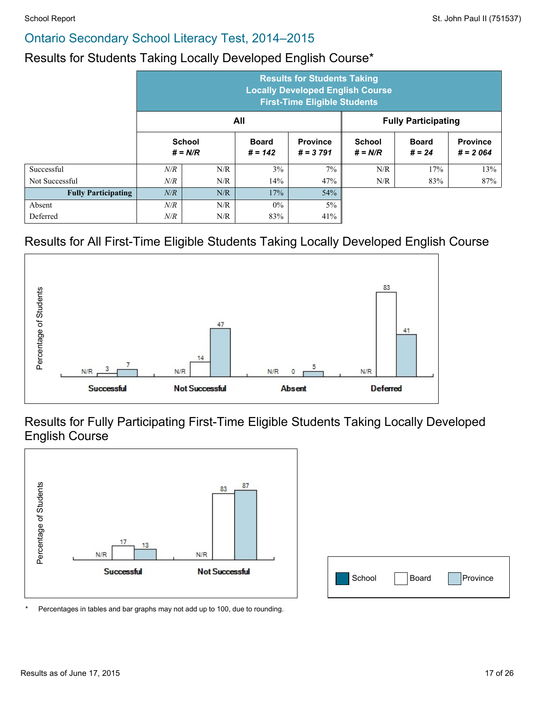### Results for Students Taking Locally Developed English Course\*

|                            |     | <b>Results for Students Taking</b><br><b>Locally Developed English Course</b><br><b>First-Time Eligible Students</b> |                           |                               |                            |                          |                               |  |  |  |
|----------------------------|-----|----------------------------------------------------------------------------------------------------------------------|---------------------------|-------------------------------|----------------------------|--------------------------|-------------------------------|--|--|--|
|                            |     | All                                                                                                                  |                           | <b>Fully Participating</b>    |                            |                          |                               |  |  |  |
|                            |     | <b>School</b><br>$# = N/R$                                                                                           | <b>Board</b><br>$# = 142$ | <b>Province</b><br>$# = 3791$ | <b>School</b><br>$# = N/R$ | <b>Board</b><br>$# = 24$ | <b>Province</b><br>$# = 2064$ |  |  |  |
| Successful                 | N/R | N/R                                                                                                                  | 3%                        | $7\%$                         | N/R                        | 17%                      | 13%                           |  |  |  |
| Not Successful             | N/R | N/R                                                                                                                  | 14%                       | 47%                           | N/R                        | 83%                      | 87%                           |  |  |  |
| <b>Fully Participating</b> | N/R | N/R                                                                                                                  | 17%                       | 54%                           |                            |                          |                               |  |  |  |
| Absent                     | N/R | N/R                                                                                                                  | $0\%$                     | $5\%$                         |                            |                          |                               |  |  |  |
| Deferred                   | N/R | N/R                                                                                                                  | 83%                       | 41%                           |                            |                          |                               |  |  |  |

### Results for All First-Time Eligible Students Taking Locally Developed English Course



Results for Fully Participating First-Time Eligible Students Taking Locally Developed English Course



| School | Board | Province |
|--------|-------|----------|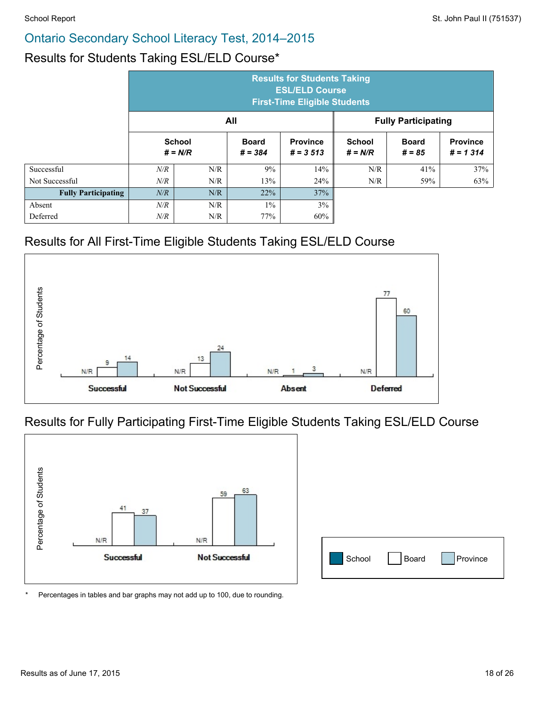#### Results for Students Taking ESL/ELD Course\*

|                            |           | <b>Results for Students Taking</b><br><b>ESL/ELD Course</b><br><b>First-Time Eligible Students</b> |                           |                                |                            |                          |                                |  |  |  |  |
|----------------------------|-----------|----------------------------------------------------------------------------------------------------|---------------------------|--------------------------------|----------------------------|--------------------------|--------------------------------|--|--|--|--|
|                            |           | All<br><b>Fully Participating</b>                                                                  |                           |                                |                            |                          |                                |  |  |  |  |
|                            |           | <b>School</b><br>$# = N/R$                                                                         | <b>Board</b><br>$# = 384$ | <b>Province</b><br>$# = 3,513$ | <b>School</b><br>$# = N/R$ | <b>Board</b><br>$# = 85$ | <b>Province</b><br>$# = 1,314$ |  |  |  |  |
| Successful                 | $N\!/\!R$ | N/R                                                                                                | 9%                        | 14%                            | N/R                        | 41%                      | 37%                            |  |  |  |  |
| Not Successful             | N/R       | N/R                                                                                                | 13%                       | 24%                            | N/R                        | 59%                      | 63%                            |  |  |  |  |
| <b>Fully Participating</b> | N/R       | N/R                                                                                                | 22%                       | 37%                            |                            |                          |                                |  |  |  |  |
| Absent                     | $N\!/\!R$ | 3%<br>N/R<br>$1\%$                                                                                 |                           |                                |                            |                          |                                |  |  |  |  |
| Deferred                   | N/R       | N/R                                                                                                | 77%                       | 60%                            |                            |                          |                                |  |  |  |  |

## Results for All First-Time Eligible Students Taking ESL/ELD Course



### Results for Fully Participating First-Time Eligible Students Taking ESL/ELD Course



| School | Board | Province |
|--------|-------|----------|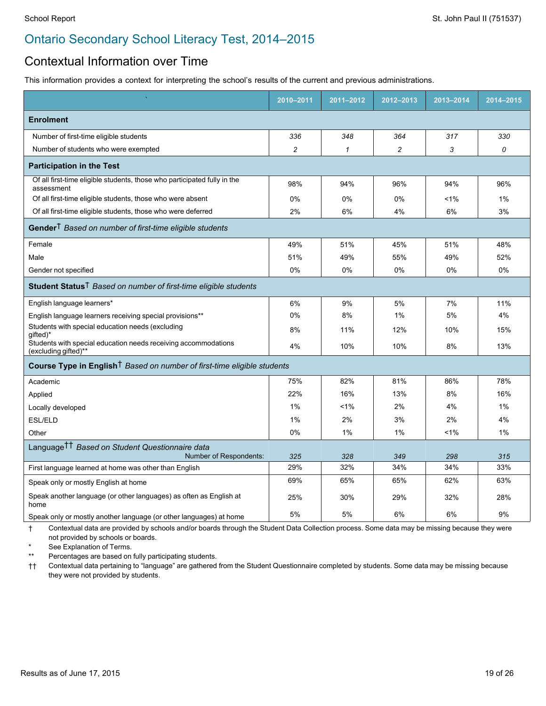#### Contextual Information over Time

This information provides a context for interpreting the school's results of the current and previous administrations.

|                                                                                        | 2010-2011 | 2011-2012    | 2012-2013      | 2013-2014 | 2014-2015 |
|----------------------------------------------------------------------------------------|-----------|--------------|----------------|-----------|-----------|
| <b>Enrolment</b>                                                                       |           |              |                |           |           |
| Number of first-time eligible students                                                 | 336       | 348          | 364            | 317       | 330       |
| Number of students who were exempted                                                   | 2         | $\mathbf{1}$ | $\overline{c}$ | 3         | 0         |
| <b>Participation in the Test</b>                                                       |           |              |                |           |           |
| Of all first-time eligible students, those who participated fully in the<br>assessment | 98%       | 94%          | 96%            | 94%       | 96%       |
| Of all first-time eligible students, those who were absent                             | 0%        | 0%           | 0%             | 1%        | $1\%$     |
| Of all first-time eligible students, those who were deferred                           | 2%        | 6%           | 4%             | 6%        | 3%        |
| Gender <sup>†</sup> Based on number of first-time eligible students                    |           |              |                |           |           |
| Female                                                                                 | 49%       | 51%          | 45%            | 51%       | 48%       |
| Male                                                                                   | 51%       | 49%          | 55%            | 49%       | 52%       |
| Gender not specified                                                                   | $0\%$     | $0\%$        | 0%             | 0%        | 0%        |
| Student Status <sup>†</sup> Based on number of first-time eligible students            |           |              |                |           |           |
| English language learners*                                                             | 6%        | 9%           | 5%             | 7%        | 11%       |
| English language learners receiving special provisions**                               | 0%        | 8%           | 1%             | 5%        | 4%        |
| Students with special education needs (excluding<br>gifted)*                           | 8%        | 11%          | 12%            | 10%       | 15%       |
| Students with special education needs receiving accommodations<br>(excluding gifted)** | 4%        | 10%          | 10%            | 8%        | 13%       |
| Course Type in English <sup>†</sup> Based on number of first-time eligible students    |           |              |                |           |           |
| Academic                                                                               | 75%       | 82%          | 81%            | 86%       | 78%       |
| Applied                                                                                | 22%       | 16%          | 13%            | 8%        | 16%       |
| Locally developed                                                                      | 1%        | $< 1\%$      | 2%             | 4%        | $1\%$     |
| <b>ESL/ELD</b>                                                                         | 1%        | 2%           | 3%             | 2%        | 4%        |
| Other                                                                                  | $0\%$     | $1\%$        | $1\%$          | $1\%$     | 1%        |
| Language <sup>††</sup> Based on Student Questionnaire data                             |           |              |                |           |           |
| Number of Respondents:                                                                 | 325       | 328          | 349            | 298       | 315       |
| First language learned at home was other than English                                  | 29%       | 32%          | 34%            | 34%       | 33%       |
| Speak only or mostly English at home                                                   | 69%       | 65%          | 65%            | 62%       | 63%       |
| Speak another language (or other languages) as often as English at<br>home             | 25%       | 30%          | 29%            | 32%       | 28%       |
| Speak only or mostly another language (or other languages) at home                     | 5%        | 5%           | 6%             | 6%        | 9%        |

† Contextual data are provided by schools and/or boards through the Student Data Collection process. Some data may be missing because they were not provided by schools or boards.

\* See Explanation of Terms.

\*\* Percentages are based on fully participating students.

†† Contextual data pertaining to "language" are gathered from the Student Questionnaire completed by students. Some data may be missing because they were not provided by students.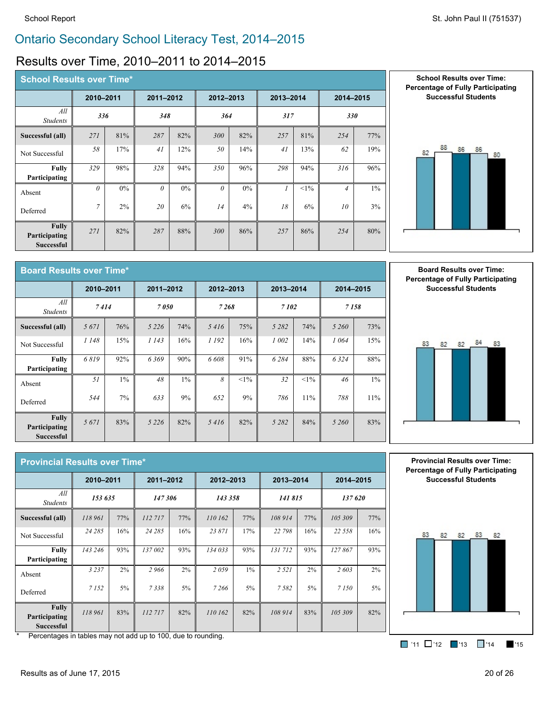#### Results over Time, 2010–2011 to 2014–2015

| <b>School Results over Time*</b>                   |           |       |           |       |           |       |                |        |                |       |  |
|----------------------------------------------------|-----------|-------|-----------|-------|-----------|-------|----------------|--------|----------------|-------|--|
|                                                    | 2010-2011 |       | 2011-2012 |       | 2012-2013 |       | 2013-2014      |        | 2014-2015      |       |  |
| All<br><b>Students</b>                             | 336       |       | 348       |       | 364       |       | 317            |        | 330            |       |  |
| Successful (all)                                   | 271       | 81%   | 287       | 82%   | 300       | 82%   | 257            | 81%    | 254            | 77%   |  |
| Not Successful                                     | 58        | 17%   | 41        | 12%   | 50        | 14%   | 41             | 13%    | 62             | 19%   |  |
| <b>Fully</b><br>Participating                      | 329       | 98%   | 328       | 94%   | 350       | 96%   | 298            | 94%    | 316            | 96%   |  |
| Absent                                             | $\theta$  | $0\%$ | $\theta$  | $0\%$ | $\theta$  | $0\%$ | $\overline{I}$ | $<1\%$ | $\overline{4}$ | $1\%$ |  |
| Deferred                                           | $\tau$    | 2%    | 20        | 6%    | 14        | 4%    | 18             | 6%     | 10             | 3%    |  |
| <b>Fully</b><br>Participating<br><b>Successful</b> | 271       | 82%   | 287       | 88%   | 300       | 86%   | 257            | 86%    | 254            | 80%   |  |





**Board Results over Time\* 2010–2011 2011–2012 2012–2013 2013–2014 2014–2015** *All Students <sup>7</sup> <sup>414</sup> <sup>7</sup> <sup>050</sup> <sup>7</sup> <sup>268</sup> <sup>7</sup> <sup>102</sup> <sup>7</sup> <sup>158</sup>* **Successful (all)** *5 671* 76% *5 226* 74% *5 416* 75% *5 282* 74% *5 260* 73% Not Successful *<sup>1</sup> <sup>148</sup>* 15% *<sup>1</sup> <sup>143</sup>* 16% *<sup>1</sup> <sup>192</sup>* 16% *<sup>1</sup> <sup>002</sup>* 14% *<sup>1</sup> <sup>064</sup>* 15% **Fully Participating** *6 819* 92% *6 369* 90% *6 608* 91% *6 284* 88% *6 324* 88% Absent *<sup>51</sup>* 1% *<sup>48</sup>* 1% *<sup>8</sup>* <1% *<sup>32</sup>* <1% *<sup>46</sup>* 1% Deferred *<sup>544</sup>* 7% *<sup>633</sup>* 9% *<sup>652</sup>* 9% *<sup>786</sup>* 11% *<sup>788</sup>* 11% **Fully Participating Successful** *5 671* 83% *5 226* 82% *5 416* 82% *5 282* 84% *5 260* 83%

**Board Results over Time: Percentage of Fully Participating Successful Students**



| <b>Provincial Results over Time*</b>               |           |       |           |        |           |         |           |         |           |       |
|----------------------------------------------------|-----------|-------|-----------|--------|-----------|---------|-----------|---------|-----------|-------|
|                                                    | 2010-2011 |       | 2011-2012 |        | 2012-2013 |         | 2013-2014 |         | 2014-2015 |       |
| All<br><b>Students</b>                             | 153 635   |       |           | 147306 |           | 143 358 |           | 141 815 | 137 620   |       |
| Successful (all)                                   | 118 961   | 77%   | 112717    | 77%    | 110 162   | 77%     | 108 914   | 77%     | 105 309   | 77%   |
| Not Successful                                     | 24 28 5   | 16%   | 24 28 5   | 16%    | 23 871    | 17%     | 22 798    | 16%     | 22 558    | 16%   |
| <b>Fully</b><br>Participating                      | 143 246   | 93%   | 137 002   | 93%    | 134 033   | 93%     | 131712    | 93%     | 127867    | 93%   |
| Absent                                             | 3 2 3 7   | $2\%$ | 2966      | 2%     | 2059      | $1\%$   | 2 5 2 1   | 2%      | 2603      | 2%    |
| Deferred                                           | 7 1 5 2   | $5\%$ | 7338      | $5\%$  | 7 2 6 6   | $5\%$   | 7582      | 5%      | 7 1 5 0   | $5\%$ |
| <b>Fully</b><br>Participating<br><b>Successful</b> | 118 961   | 83%   | 112717    | 82%    | 110 162   | 82%     | 108 914   | 83%     | 105 309   | 82%   |

**Provincial Results over Time: Percentage of Fully Participating Successful Students**



Percentages in tables may not add up to 100, due to rounding.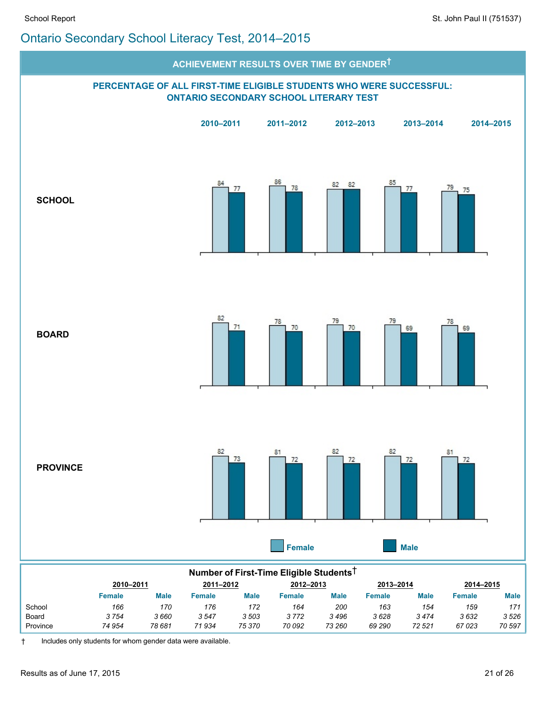

Board *3 754 3 660 3 547 3 503 3 772 3 496 3 628 3 474 3 632 3 526* Province *74 954 78 681 71 934 75 370 70 092 73 260 69 290 72 521 67 023 70 597*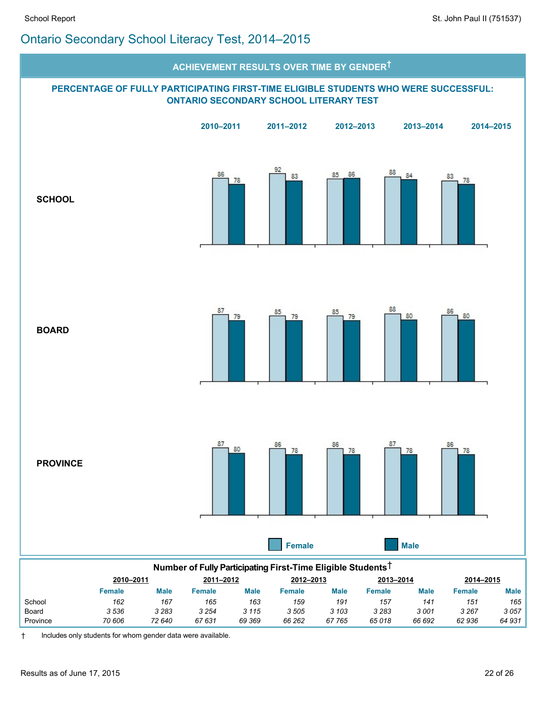

| Number of Fully Participating First-Time Eligible Students <sup>T</sup> |                                                               |             |         |             |        |             |               |             |         |             |
|-------------------------------------------------------------------------|---------------------------------------------------------------|-------------|---------|-------------|--------|-------------|---------------|-------------|---------|-------------|
|                                                                         | 2010-2011<br>2011-2012<br>2012-2013<br>2013-2014<br>2014-2015 |             |         |             |        |             |               |             |         |             |
|                                                                         | <b>Female</b>                                                 | <b>Male</b> | Female  | <b>Male</b> | Female | <b>Male</b> | <b>Female</b> | <b>Male</b> | Female  | <b>Male</b> |
| School                                                                  | 162                                                           | 167         | 165     | 163         | 159    | 191         | 157           | 141         | 151     | 165         |
| Board                                                                   | 3536                                                          | 3 2 8 3     | 3 2 5 4 | 3 1 1 5     | 3505   | 3 1 0 3     | 3 2 8 3       | 3001        | 3 2 6 7 | 3057        |
| Province                                                                | 70 606                                                        | 72 640      | 67 631  | 69 369      | 66 262 | 67765       | 65018         | 66 692      | 62936   | 64 931      |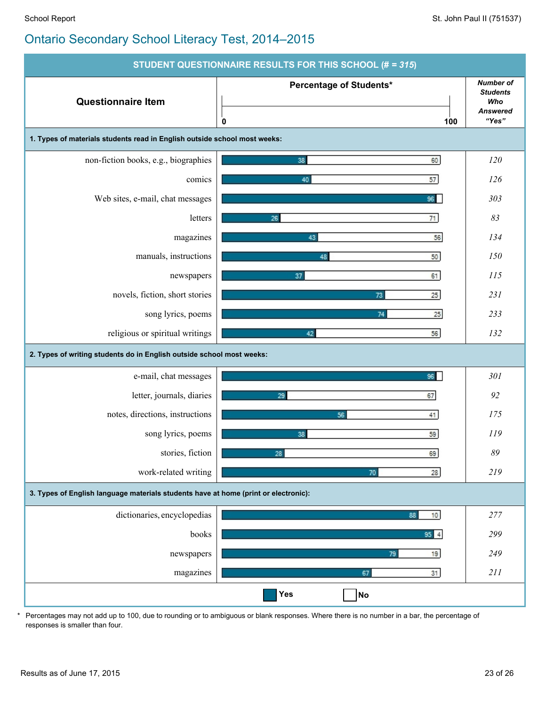| STUDENT QUESTIONNAIRE RESULTS FOR THIS SCHOOL (# = 315)                             |                                |                                                                        |  |  |  |  |
|-------------------------------------------------------------------------------------|--------------------------------|------------------------------------------------------------------------|--|--|--|--|
| <b>Questionnaire Item</b>                                                           | Percentage of Students*<br>100 | <b>Number of</b><br><b>Students</b><br>Who<br><b>Answered</b><br>"Yes" |  |  |  |  |
| 1. Types of materials students read in English outside school most weeks:           | 0                              |                                                                        |  |  |  |  |
| non-fiction books, e.g., biographies                                                | 60<br>38                       | 120                                                                    |  |  |  |  |
| comics                                                                              | 40<br>57                       | 126                                                                    |  |  |  |  |
| Web sites, e-mail, chat messages                                                    | 96                             | 303                                                                    |  |  |  |  |
| letters                                                                             | 26<br>71                       | 83                                                                     |  |  |  |  |
| magazines                                                                           | 56<br>43                       | 134                                                                    |  |  |  |  |
| manuals, instructions                                                               | 50<br>48                       | 150                                                                    |  |  |  |  |
| newspapers                                                                          | 61<br>37                       | 115                                                                    |  |  |  |  |
| novels, fiction, short stories                                                      | $25\,$<br>73                   | 231                                                                    |  |  |  |  |
| song lyrics, poems                                                                  | 74<br>25                       | 233                                                                    |  |  |  |  |
| religious or spiritual writings                                                     | 56<br>42                       | 132                                                                    |  |  |  |  |
|                                                                                     |                                |                                                                        |  |  |  |  |
| 2. Types of writing students do in English outside school most weeks:               |                                |                                                                        |  |  |  |  |
| e-mail, chat messages                                                               | 96                             | 301                                                                    |  |  |  |  |
| letter, journals, diaries                                                           | 67<br>29                       | 92                                                                     |  |  |  |  |
| notes, directions, instructions                                                     | 56<br>41                       | 175                                                                    |  |  |  |  |
| song lyrics, poems                                                                  | 38<br>59                       | 119                                                                    |  |  |  |  |
| stories, fiction                                                                    | 69<br>28                       | 89                                                                     |  |  |  |  |
| work-related writing                                                                | $28\,$<br>70                   | 219                                                                    |  |  |  |  |
| 3. Types of English language materials students have at home (print or electronic): |                                |                                                                        |  |  |  |  |
| dictionaries, encyclopedias                                                         | 10 <sub>10</sub><br>88         | 277                                                                    |  |  |  |  |
| books                                                                               | $95$ 4                         | 299                                                                    |  |  |  |  |
| newspapers                                                                          | 19<br>79                       | 249                                                                    |  |  |  |  |
| magazines                                                                           | 67<br>31                       | 211                                                                    |  |  |  |  |
|                                                                                     | Yes<br><b>No</b>               |                                                                        |  |  |  |  |

\* Percentages may not add up to 100, due to rounding or to ambiguous or blank responses. Where there is no number in a bar, the percentage of responses is smaller than four.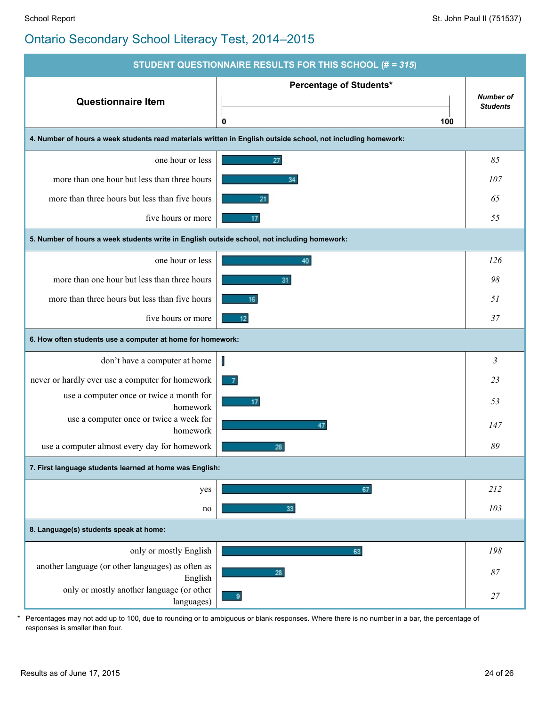

\* Percentages may not add up to 100, due to rounding or to ambiguous or blank responses. Where there is no number in a bar, the percentage of responses is smaller than four.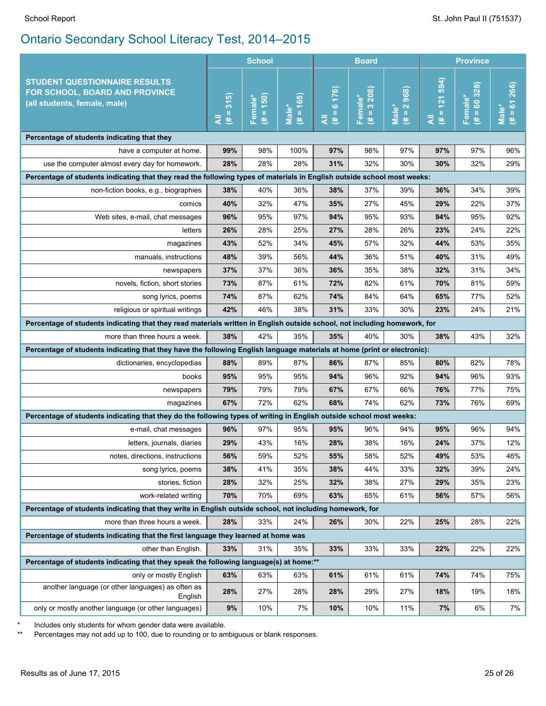|                                                                                                                           |               | <b>School</b><br><b>Board</b> |                       |                     |                                 | <b>Province</b>                    |                                    |                            |                         |
|---------------------------------------------------------------------------------------------------------------------------|---------------|-------------------------------|-----------------------|---------------------|---------------------------------|------------------------------------|------------------------------------|----------------------------|-------------------------|
| <b>STUDENT QUESTIONNAIRE RESULTS</b><br>FOR SCHOOL, BOARD AND PROVINCE<br>(all students, female, male)                    | 315<br>#<br>₹ | $(# = 150)$<br>Female*        | $# = 165$<br>$Male^*$ | $= 6 176$<br>₹<br>巷 | Female*<br>(# = $3\ 208$ )<br>巷 | $(\# = 2968)$<br>Male <sup>*</sup> | 121 594)<br>$\mathbf{I}$<br>Ę<br>巷 | $= 60,328$<br>Female*<br>巷 | $= 61266$<br>Male*<br>B |
| Percentage of students indicating that they                                                                               |               |                               |                       |                     |                                 |                                    |                                    |                            |                         |
| have a computer at home.                                                                                                  | 99%           | 98%                           | 100%                  | 97%                 | 98%                             | 97%                                | 97%                                | 97%                        | 96%                     |
| use the computer almost every day for homework.                                                                           | 28%           | 28%                           | 28%                   | 31%                 | 32%                             | 30%                                | 30%                                | 32%                        | 29%                     |
| Percentage of students indicating that they read the following types of materials in English outside school most weeks:   |               |                               |                       |                     |                                 |                                    |                                    |                            |                         |
| non-fiction books, e.g., biographies                                                                                      | 38%           | 40%                           | 36%                   | 38%                 | 37%                             | 39%                                | 36%                                | 34%                        | 39%                     |
| comics                                                                                                                    | 40%           | 32%                           | 47%                   | 35%                 | 27%                             | 45%                                | 29%                                | 22%                        | 37%                     |
| Web sites, e-mail, chat messages                                                                                          | 96%           | 95%                           | 97%                   | 94%                 | 95%                             | 93%                                | 94%                                | 95%                        | 92%                     |
| letters                                                                                                                   | 26%           | 28%                           | 25%                   | 27%                 | 28%                             | 26%                                | 23%                                | 24%                        | 22%                     |
| magazines                                                                                                                 | 43%           | 52%                           | 34%                   | 45%                 | 57%                             | 32%                                | 44%                                | 53%                        | 35%                     |
| manuals, instructions                                                                                                     | 48%           | 39%                           | 56%                   | 44%                 | 36%                             | 51%                                | 40%                                | 31%                        | 49%                     |
| newspapers                                                                                                                | 37%           | 37%                           | 36%                   | 36%                 | 35%                             | 38%                                | 32%                                | 31%                        | 34%                     |
| novels, fiction, short stories                                                                                            | 73%           | 87%                           | 61%                   | 72%                 | 82%                             | 61%                                | 70%                                | 81%                        | 59%                     |
| song lyrics, poems                                                                                                        | 74%           | 87%                           | 62%                   | 74%                 | 84%                             | 64%                                | 65%                                | 77%                        | 52%                     |
| religious or spiritual writings                                                                                           | 42%           | 46%                           | 38%                   | 31%                 | 33%                             | 30%                                | 23%                                | 24%                        | 21%                     |
| Percentage of students indicating that they read materials written in English outside school, not including homework, for |               |                               |                       |                     |                                 |                                    |                                    |                            |                         |
| more than three hours a week.                                                                                             | 38%           | 42%                           | 35%                   | 35%                 | 40%                             | 30%                                | 38%                                | 43%                        | 32%                     |
| Percentage of students indicating that they have the following English language materials at home (print or electronic):  |               |                               |                       |                     |                                 |                                    |                                    |                            |                         |
| dictionaries, encyclopedias                                                                                               | 88%           | 89%                           | 87%                   | 86%                 | 87%                             | 85%                                | 80%                                | 82%                        | 78%                     |
| books                                                                                                                     | 95%           | 95%                           | 95%                   | 94%                 | 96%                             | 92%                                | 94%                                | 96%                        | 93%                     |
| newspapers                                                                                                                | 79%           | 79%                           | 79%                   | 67%                 | 67%                             | 66%                                | 76%                                | 77%                        | 75%                     |
| magazines                                                                                                                 | 67%           | 72%                           | 62%                   | 68%                 | 74%                             | 62%                                | 73%                                | 76%                        | 69%                     |
| Percentage of students indicating that they do the following types of writing in English outside school most weeks:       |               |                               |                       |                     |                                 |                                    |                                    |                            |                         |
| e-mail, chat messages                                                                                                     | 96%           | 97%                           | 95%                   | 95%                 | 96%                             | 94%                                | 95%                                | 96%                        | 94%                     |
| letters, journals, diaries                                                                                                | 29%           | 43%                           | 16%                   | 28%                 | 38%                             | 16%                                | 24%                                | 37%                        | 12%                     |
| notes, directions, instructions                                                                                           | 56%           | 59%                           | 52%                   | 55%                 | 58%                             | 52%                                | 49%                                | 53%                        | 46%                     |
| song lyrics, poems                                                                                                        | 38%           | 41%                           | 35%                   | 38%                 | 44%                             | 33%                                | 32%                                | 39%                        | 24%                     |
| stories, fiction                                                                                                          | 28%           | 32%                           | 25%                   | 32%                 | 38%                             | 27%                                | 29%                                | 35%                        | 23%                     |
| work-related writing                                                                                                      | 70%           | 70%                           | 69%                   | 63%                 | 65%                             | 61%                                | 56%                                | 57%                        | 56%                     |
| Percentage of students indicating that they write in English outside school, not including homework, for                  |               |                               |                       |                     |                                 |                                    |                                    |                            |                         |
| more than three hours a week.                                                                                             | 28%           | 33%                           | 24%                   | 26%                 | 30%                             | 22%                                | 25%                                | 28%                        | 22%                     |
| Percentage of students indicating that the first language they learned at home was                                        |               |                               |                       |                     |                                 |                                    |                                    |                            |                         |
| other than English.                                                                                                       | 33%           | 31%                           | 35%                   | 33%                 | 33%                             | 33%                                | 22%                                | 22%                        | 22%                     |
| Percentage of students indicating that they speak the following language(s) at home:**                                    |               |                               |                       |                     |                                 |                                    |                                    |                            |                         |
| only or mostly English                                                                                                    | 63%           | 63%                           | 63%                   | 61%                 | 61%                             | 61%                                | 74%                                | 74%                        | 75%                     |
| another language (or other languages) as often as<br>English                                                              | 28%           | 27%                           | 28%                   | 28%                 | 29%                             | 27%                                | 18%                                | 19%                        | 18%                     |
| only or mostly another language (or other languages)                                                                      | $9\%$         | 10%                           | 7%                    | 10%                 | 10%                             | 11%                                | 7%                                 | 6%                         | 7%                      |

\* Includes only students for whom gender data were available.<br>\*\* Percentages may not add up to 100 due to rounding or to an

Percentages may not add up to 100, due to rounding or to ambiguous or blank responses.